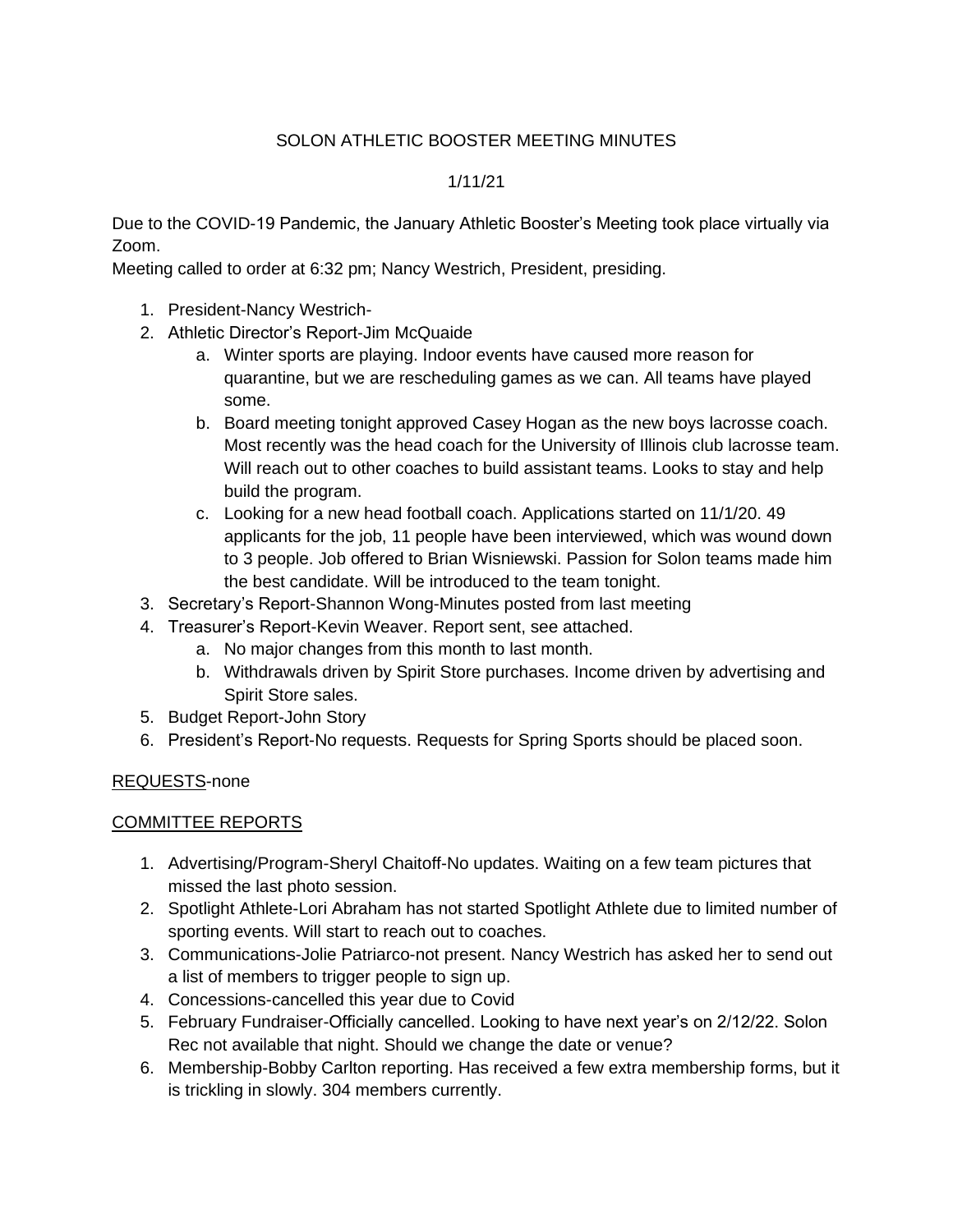## SOLON ATHLETIC BOOSTER MEETING MINUTES

## 1/11/21

Due to the COVID-19 Pandemic, the January Athletic Booster's Meeting took place virtually via Zoom.

Meeting called to order at 6:32 pm; Nancy Westrich, President, presiding.

- 1. President-Nancy Westrich-
- 2. Athletic Director's Report-Jim McQuaide
	- a. Winter sports are playing. Indoor events have caused more reason for quarantine, but we are rescheduling games as we can. All teams have played some.
	- b. Board meeting tonight approved Casey Hogan as the new boys lacrosse coach. Most recently was the head coach for the University of Illinois club lacrosse team. Will reach out to other coaches to build assistant teams. Looks to stay and help build the program.
	- c. Looking for a new head football coach. Applications started on 11/1/20. 49 applicants for the job, 11 people have been interviewed, which was wound down to 3 people. Job offered to Brian Wisniewski. Passion for Solon teams made him the best candidate. Will be introduced to the team tonight.
- 3. Secretary's Report-Shannon Wong-Minutes posted from last meeting
- 4. Treasurer's Report-Kevin Weaver. Report sent, see attached.
	- a. No major changes from this month to last month.
	- b. Withdrawals driven by Spirit Store purchases. Income driven by advertising and Spirit Store sales.
- 5. Budget Report-John Story
- 6. President's Report-No requests. Requests for Spring Sports should be placed soon.

## REQUESTS-none

## COMMITTEE REPORTS

- 1. Advertising/Program-Sheryl Chaitoff-No updates. Waiting on a few team pictures that missed the last photo session.
- 2. Spotlight Athlete-Lori Abraham has not started Spotlight Athlete due to limited number of sporting events. Will start to reach out to coaches.
- 3. Communications-Jolie Patriarco-not present. Nancy Westrich has asked her to send out a list of members to trigger people to sign up.
- 4. Concessions-cancelled this year due to Covid
- 5. February Fundraiser-Officially cancelled. Looking to have next year's on 2/12/22. Solon Rec not available that night. Should we change the date or venue?
- 6. Membership-Bobby Carlton reporting. Has received a few extra membership forms, but it is trickling in slowly. 304 members currently.